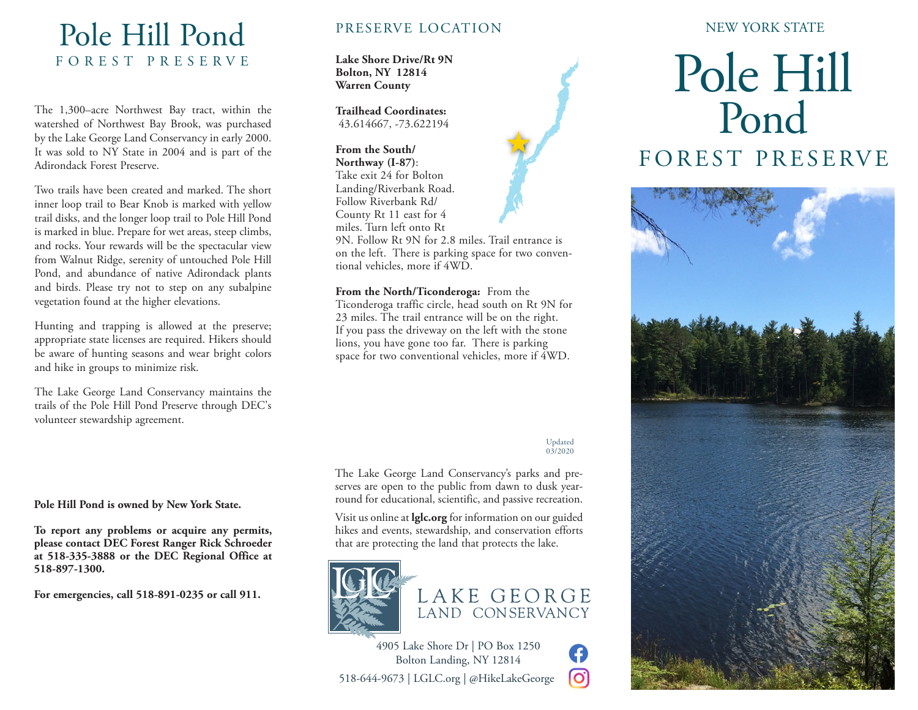## Pole Hill Pond FOREST PRESERVE

The 1,300–acre Northwest Bay tract, within the watershed of Northwest Bay Brook, was purchased by the Lake George Land Conservancy in early 2000. It was sold to NY State in 2004 and is part of the Adirondack Forest Preserve.

Two trails have been created and marked. The short inner loop trail to Bear Knob is marked with yellow trail disks, and the longer loop trail to Pole Hill Pond is marked in blue. Prepare for wet areas, steep climbs, and rocks. Your rewards will be the spectacular view from Walnut Ridge, serenity of untouched Pole Hill Pond, and abundance of native Adirondack plants and birds. Please try not to step on any subalpine vegetation found at the higher elevations.

Hunting and trapping is allowed at the preserve; appropriate state licenses are required. Hikers should be aware of hunting seasons and wear bright colors and hike in groups to minimize risk.

The Lake George Land Conservancy maintains the trails of the Pole Hill Pond Preserve through DEC's volunteer stewardship agreement.

**Pole Hill Pond is owned by New York State.** 

**To report any problems or acquire any permits, please contact DEC Forest Ranger Rick Schroeder at 518-335-3888 or the DEC Regional Office at 518-897-1300.**

**For emergencies, call 518-891-0235 or call 911.**

### PRESERVE LOCATION

**Lake Shore Drive/Rt 9N Bolton, NY 12814 Warren County**

**Trailhead Coordinates:** 43.614667, -73.622194

**From the South/ Northway (I-87)**: Take exit 24 for Bolton Landing/Riverbank Road. Follow Riverbank Rd/ County Rt 11 east for 4

miles. Turn left onto Rt

9N. Follow Rt 9N for 2.8 miles. Trail entrance is on the left. There is parking space for two conventional vehicles, more if 4WD.

文

**From the North/Ticonderoga:** From the Ticonderoga traffic circle, head south on Rt 9N for 23 miles. The trail entrance will be on the right. If you pass the driveway on the left with the stone lions, you have gone too far. There is parking space for two conventional vehicles, more if 4WD.

#### Updated  $03/2020$

G lO.

The Lake George Land Conservancy's parks and preserves are open to the public from dawn to dusk yearround for educational, scientific, and passive recreation.

Visit us online at **lglc.org** for information on our guided hikes and events, stewardship, and conservation efforts that are protecting the land that protects the lake.





4905 Lake Shore Dr | PO Box 1250 Bolton Landing, NY 12814 518-644-9673 | LGLC.org | @HikeLakeGeorge

### NEW YORK STATE

# Pole Hill Pond FOREST PRESERVE